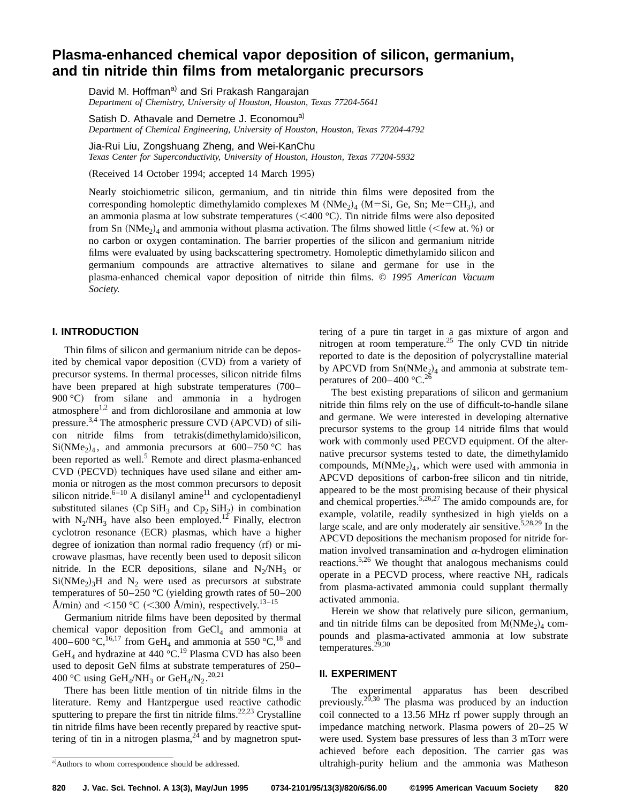# **Plasma-enhanced chemical vapor deposition of silicon, germanium, and tin nitride thin films from metalorganic precursors**

David M. Hoffman<sup>a)</sup> and Sri Prakash Rangarajan *Department of Chemistry, University of Houston, Houston, Texas 77204-5641*

Satish D. Athavale and Demetre J. Economou<sup>a)</sup> *Department of Chemical Engineering, University of Houston, Houston, Texas 77204-4792*

Jia-Rui Liu, Zongshuang Zheng, and Wei-KanChu

*Texas Center for Superconductivity, University of Houston, Houston, Texas 77204-5932*

(Received 14 October 1994; accepted 14 March 1995)

Nearly stoichiometric silicon, germanium, and tin nitride thin films were deposited from the corresponding homoleptic dimethylamido complexes M  $(NMe<sub>2</sub>)<sub>4</sub>$  (M=Si, Ge, Sn; Me=CH<sub>3</sub>), and an ammonia plasma at low substrate temperatures  $( $400 \degree C$ ). Tin nitride films were also deposited$ from Sn  $(NMe<sub>2</sub>)<sub>4</sub>$  and ammonia without plasma activation. The films showed little (<few at. %) or no carbon or oxygen contamination. The barrier properties of the silicon and germanium nitride films were evaluated by using backscattering spectrometry. Homoleptic dimethylamido silicon and germanium compounds are attractive alternatives to silane and germane for use in the plasma-enhanced chemical vapor deposition of nitride thin films. © *1995 American Vacuum Society.*

## **I. INTRODUCTION**

Thin films of silicon and germanium nitride can be deposited by chemical vapor deposition (CVD) from a variety of precursor systems. In thermal processes, silicon nitride films have been prepared at high substrate temperatures (700– 900 °C) from silane and ammonia in a hydrogen atmosphere $1,2$  and from dichlorosilane and ammonia at low pressure.<sup>3,4</sup> The atmospheric pressure CVD (APCVD) of silicon nitride films from tetrakis(dimethylamido)silicon,  $Si(NMe<sub>2</sub>)<sub>4</sub>$ , and ammonia precursors at 600–750 °C has been reported as well.<sup>5</sup> Remote and direct plasma-enhanced CVD (PECVD) techniques have used silane and either ammonia or nitrogen as the most common precursors to deposit silicon nitride. $6 - 10$  A disilanyl amine<sup>11</sup> and cyclopentadienyl substituted silanes  $(Cp SiH_3$  and  $Cp_2 SiH_2$  in combination with  $N_2/NH_3$  have also been employed.<sup>12</sup> Finally, electron cyclotron resonance (ECR) plasmas, which have a higher degree of ionization than normal radio frequency  $(rf)$  or microwave plasmas, have recently been used to deposit silicon nitride. In the ECR depositions, silane and  $N_2/NH_3$  or  $Si(NMe<sub>2</sub>)<sub>3</sub>H$  and N<sub>2</sub> were used as precursors at substrate temperatures of 50–250 °C (yielding growth rates of 50–200 Å/min) and <150 °C (<300 Å/min), respectively.<sup>13–15</sup>

Germanium nitride films have been deposited by thermal chemical vapor deposition from  $GeCl<sub>4</sub>$  and ammonia at 400–600 °C,<sup>16,17</sup> from GeH<sub>4</sub> and ammonia at 550 °C,<sup>18</sup> and GeH<sub>4</sub> and hydrazine at 440  $^{\circ}$ C.<sup>19</sup> Plasma CVD has also been used to deposit GeN films at substrate temperatures of 250– 400 °C using GeH<sub>4</sub>/NH<sub>3</sub> or GeH<sub>4</sub>/N<sub>2</sub>.<sup>20,21</sup>

There has been little mention of tin nitride films in the literature. Remy and Hantzpergue used reactive cathodic sputtering to prepare the first tin nitride films.<sup>22,23</sup> Crystalline tin nitride films have been recently prepared by reactive sputtering of tin in a nitrogen plasma, $^{24}$  and by magnetron sputtering of a pure tin target in a gas mixture of argon and nitrogen at room temperature.<sup>25</sup> The only CVD tin nitride reported to date is the deposition of polycrystalline material by APCVD from  $Sn(NMe<sub>2</sub>)<sub>4</sub>$  and ammonia at substrate temperatures of  $200-400$  °C.<sup>26</sup>

The best existing preparations of silicon and germanium nitride thin films rely on the use of difficult-to-handle silane and germane. We were interested in developing alternative precursor systems to the group 14 nitride films that would work with commonly used PECVD equipment. Of the alternative precursor systems tested to date, the dimethylamido compounds,  $M(NMe<sub>2</sub>)<sub>4</sub>$ , which were used with ammonia in APCVD depositions of carbon-free silicon and tin nitride, appeared to be the most promising because of their physical and chemical properties.<sup>5,26,27</sup> The amido compounds are, for example, volatile, readily synthesized in high yields on a large scale, and are only moderately air sensitive.<sup>5,28,29</sup> In the APCVD depositions the mechanism proposed for nitride formation involved transamination and  $\alpha$ -hydrogen elimination reactions.5,26 We thought that analogous mechanisms could operate in a PECVD process, where reactive NH*<sup>x</sup>* radicals from plasma-activated ammonia could supplant thermally activated ammonia.

Herein we show that relatively pure silicon, germanium, and tin nitride films can be deposited from  $M(NMe<sub>2</sub>)<sub>4</sub>$  compounds and plasma-activated ammonia at low substrate temperatures. $2\overline{9}$ , 30

## **II. EXPERIMENT**

The experimental apparatus has been described previously.<sup>29,30</sup> The plasma was produced by an induction coil connected to a 13.56 MHz rf power supply through an impedance matching network. Plasma powers of 20–25 W were used. System base pressures of less than 3 mTorr were achieved before each deposition. The carrier gas was ultrahigh-purity helium and the ammonia was Matheson

<sup>&</sup>lt;sup>a)</sup>Authors to whom correspondence should be addressed.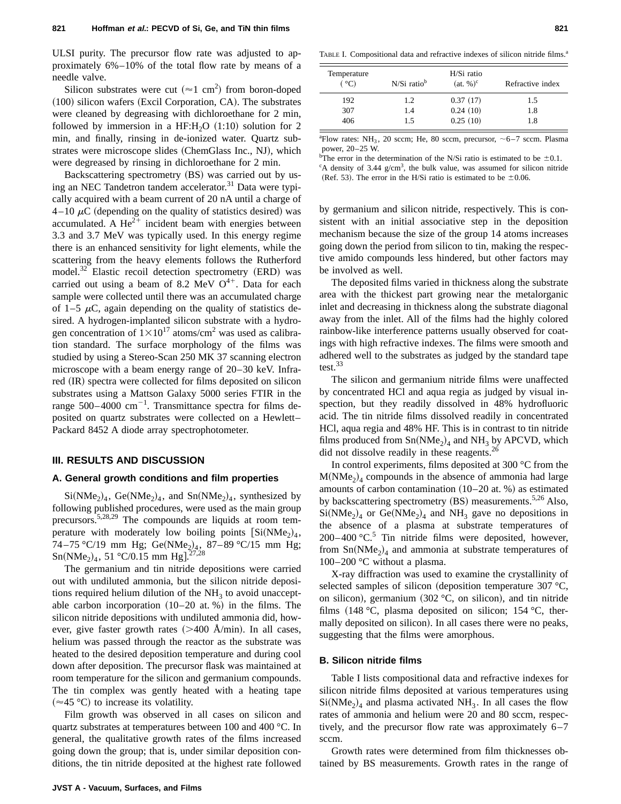ULSI purity. The precursor flow rate was adjusted to approximately 6%–10% of the total flow rate by means of a needle valve.

Silicon substrates were cut ( $\approx$ 1 cm<sup>2</sup>) from boron-doped  $(100)$  silicon wafers (Excil Corporation, CA). The substrates were cleaned by degreasing with dichloroethane for 2 min, followed by immersion in a HF:H<sub>2</sub>O  $(1:10)$  solution for 2 min, and finally, rinsing in de-ionized water. Quartz substrates were microscope slides (ChemGlass Inc., NJ), which were degreased by rinsing in dichloroethane for 2 min.

Backscattering spectrometry (BS) was carried out by using an NEC Tandetron tandem accelerator.<sup>31</sup> Data were typically acquired with a beam current of 20 nA until a charge of  $4-10 \mu C$  (depending on the quality of statistics desired) was accumulated. A  $\text{He}^{2+}$  incident beam with energies between 3.3 and 3.7 MeV was typically used. In this energy regime there is an enhanced sensitivity for light elements, while the scattering from the heavy elements follows the Rutherford  $model.<sup>32</sup>$  Elastic recoil detection spectrometry (ERD) was carried out using a beam of 8.2 MeV  $O<sup>4+</sup>$ . Data for each sample were collected until there was an accumulated charge of 1–5  $\mu$ C, again depending on the quality of statistics desired. A hydrogen-implanted silicon substrate with a hydrogen concentration of  $1 \times 10^{17}$  atoms/cm<sup>2</sup> was used as calibration standard. The surface morphology of the films was studied by using a Stereo-Scan 250 MK 37 scanning electron microscope with a beam energy range of 20–30 keV. Infrared (IR) spectra were collected for films deposited on silicon substrates using a Mattson Galaxy 5000 series FTIR in the range 500–4000  $\text{cm}^{-1}$ . Transmittance spectra for films deposited on quartz substrates were collected on a Hewlett– Packard 8452 A diode array spectrophotometer.

## **III. RESULTS AND DISCUSSION**

#### **A. General growth conditions and film properties**

 $Si(NMe<sub>2</sub>)<sub>4</sub>$ ,  $Ge(NMe<sub>2</sub>)<sub>4</sub>$ , and  $Sn(NMe<sub>2</sub>)<sub>4</sub>$ , synthesized by following published procedures, were used as the main group precursors.5,28,29 The compounds are liquids at room temperature with moderately low boiling points  $[Si(NMe<sub>2</sub>)<sub>4</sub>,$ 74 – 75 °C/19 mm Hg; Ge(NMe<sub>2</sub>)<sub>4</sub>, 87 – 89 °C/15 mm Hg;  $Sn(NMe<sub>2</sub>)<sub>4</sub>, 51 °C/0.15 mm Hg].<sup>27,28</sup>$ 

The germanium and tin nitride depositions were carried out with undiluted ammonia, but the silicon nitride depositions required helium dilution of the  $NH<sub>3</sub>$  to avoid unacceptable carbon incorporation  $(10–20$  at. %) in the films. The silicon nitride depositions with undiluted ammonia did, however, give faster growth rates  $(>=400 \text{ Å/min})$ . In all cases, helium was passed through the reactor as the substrate was heated to the desired deposition temperature and during cool down after deposition. The precursor flask was maintained at room temperature for the silicon and germanium compounds. The tin complex was gently heated with a heating tape  $(\approx 45 \degree C)$  to increase its volatility.

Film growth was observed in all cases on silicon and quartz substrates at temperatures between 100 and 400 °C. In general, the qualitative growth rates of the films increased going down the group; that is, under similar deposition conditions, the tin nitride deposited at the highest rate followed

TABLE I. Compositional data and refractive indexes of silicon nitride films.<sup>a</sup>

| Temperature<br>(°C) | $N/Si$ ratio <sup>b</sup> | H/Si ratio<br>$(at, %)$ <sup>c</sup> | Refractive index |
|---------------------|---------------------------|--------------------------------------|------------------|
| 192                 | 1.2                       | 0.37(17)                             | 1.5              |
| 307                 | 1.4                       | 0.24(10)                             | 1.8              |
| 406                 | 1.5                       | 0.25(10)                             | 1.8              |

<sup>a</sup> Flow rates: NH<sub>3</sub>, 20 sccm; He, 80 sccm, precursor,  $\sim$  6-7 sccm. Plasma power, 20–25 W.

<sup>b</sup>The error in the determination of the N/Si ratio is estimated to be  $\pm 0.1$ .

<sup>c</sup>A density of 3.44 g/cm<sup>3</sup>, the bulk value, was assumed for silicon nitride (Ref. 53). The error in the H/Si ratio is estimated to be  $\pm 0.06$ .

by germanium and silicon nitride, respectively. This is consistent with an initial associative step in the deposition mechanism because the size of the group 14 atoms increases going down the period from silicon to tin, making the respective amido compounds less hindered, but other factors may be involved as well.

The deposited films varied in thickness along the substrate area with the thickest part growing near the metalorganic inlet and decreasing in thickness along the substrate diagonal away from the inlet. All of the films had the highly colored rainbow-like interference patterns usually observed for coatings with high refractive indexes. The films were smooth and adhered well to the substrates as judged by the standard tape test.<sup>33</sup>

The silicon and germanium nitride films were unaffected by concentrated HCl and aqua regia as judged by visual inspection, but they readily dissolved in 48% hydrofluoric acid. The tin nitride films dissolved readily in concentrated HCl, aqua regia and 48% HF. This is in contrast to tin nitride films produced from  $Sn(NMe<sub>2</sub>)<sub>4</sub>$  and  $NH<sub>3</sub>$  by APCVD, which did not dissolve readily in these reagents.<sup>26</sup>

In control experiments, films deposited at 300 °C from the  $M(NMe<sub>2</sub>)<sub>4</sub>$  compounds in the absence of ammonia had large amounts of carbon contamination  $(10–20$  at. %) as estimated by backscattering spectrometry  $(BS)$  measurements.<sup>5,26</sup> Also,  $Si(NMe<sub>2</sub>)<sub>4</sub>$  or  $Ge(NMe<sub>2</sub>)<sub>4</sub>$  and NH<sub>3</sub> gave no depositions in the absence of a plasma at substrate temperatures of  $200-400$  °C.<sup>5</sup> Tin nitride films were deposited, however, from  $Sn(NMe<sub>2</sub>)<sub>4</sub>$  and ammonia at substrate temperatures of 100–200 °C without a plasma.

X-ray diffraction was used to examine the crystallinity of selected samples of silicon (deposition temperature 307  $^{\circ}C$ , on silicon), germanium  $(302 \degree C, \text{ on silicon})$ , and tin nitride films  $(148 \degree C, \text{ plasma deposited on silicon}; 154 \degree C, \text{ther-}$ mally deposited on silicon). In all cases there were no peaks, suggesting that the films were amorphous.

#### **B. Silicon nitride films**

Table I lists compositional data and refractive indexes for silicon nitride films deposited at various temperatures using  $Si(NMe<sub>2</sub>)<sub>4</sub>$  and plasma activated NH<sub>3</sub>. In all cases the flow rates of ammonia and helium were 20 and 80 sccm, respectively, and the precursor flow rate was approximately  $6-7$ sccm.

Growth rates were determined from film thicknesses obtained by BS measurements. Growth rates in the range of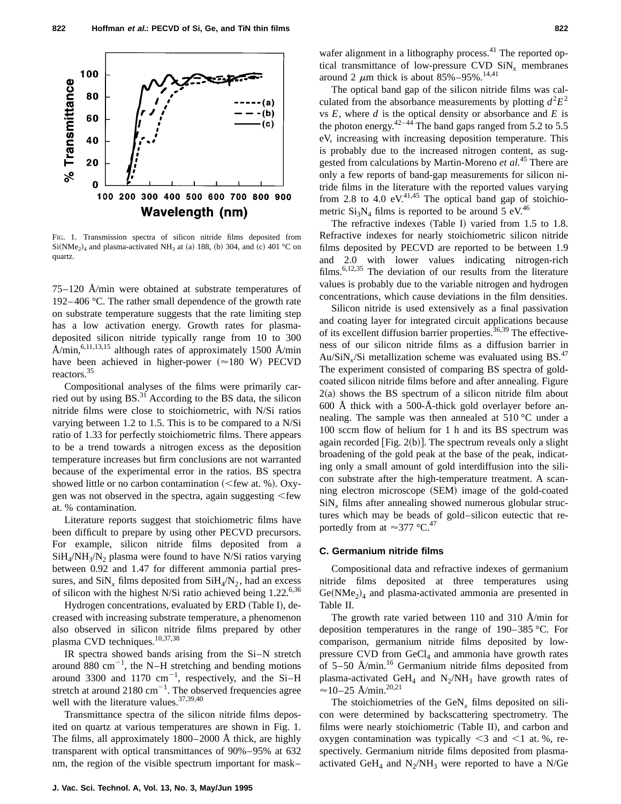

FIG. 1. Transmission spectra of silicon nitride films deposited from  $Si(NMe<sub>2</sub>)<sub>4</sub>$  and plasma-activated NH<sub>3</sub> at (a) 188, (b) 304, and (c) 401 °C on quartz.

75–120 Å/min were obtained at substrate temperatures of 192– 406 °C. The rather small dependence of the growth rate on substrate temperature suggests that the rate limiting step has a low activation energy. Growth rates for plasmadeposited silicon nitride typically range from 10 to 300 Å/min,<sup>6,11,13,15</sup> although rates of approximately 1500 Å/min have been achieved in higher-power  $(\approx 180 \text{ W})$  PECVD reactors.<sup>35</sup>

Compositional analyses of the films were primarily carried out by using  $BS^{31}$  According to the BS data, the silicon nitride films were close to stoichiometric, with N/Si ratios varying between 1.2 to 1.5. This is to be compared to a N/Si ratio of 1.33 for perfectly stoichiometric films. There appears to be a trend towards a nitrogen excess as the deposition temperature increases but firm conclusions are not warranted because of the experimental error in the ratios. BS spectra showed little or no carbon contamination ( $\leq$  few at. %). Oxygen was not observed in the spectra, again suggesting  $\leq$  few at. % contamination.

Literature reports suggest that stoichiometric films have been difficult to prepare by using other PECVD precursors. For example, silicon nitride films deposited from a  $SiH<sub>4</sub>/NH<sub>3</sub>/N<sub>2</sub>$  plasma were found to have N/Si ratios varying between 0.92 and 1.47 for different ammonia partial pressures, and  $\text{SiN}_x$  films deposited from  $\text{SiH}_4/\text{N}_2$ , had an excess of silicon with the highest N/Si ratio achieved being  $1.22^{6,36}$ 

Hydrogen concentrations, evaluated by ERD (Table I), decreased with increasing substrate temperature, a phenomenon also observed in silicon nitride films prepared by other plasma CVD techniques.<sup>10,37,38</sup>

IR spectra showed bands arising from the Si–N stretch around 880  $\text{cm}^{-1}$ , the N–H stretching and bending motions around 3300 and 1170  $cm^{-1}$ , respectively, and the Si-H stretch at around  $2180 \text{ cm}^{-1}$ . The observed frequencies agree well with the literature values.<sup>37,39,40</sup>

Transmittance spectra of the silicon nitride films deposited on quartz at various temperatures are shown in Fig. 1. The films, all approximately 1800–2000 Å thick, are highly transparent with optical transmittances of 90%–95% at 632 nm, the region of the visible spectrum important for mask–

wafer alignment in a lithography process. $^{41}$  The reported optical transmittance of low-pressure CVD SiN*<sup>x</sup>* membranes around 2  $\mu$ m thick is about 85%–95%.<sup>14,41</sup>

The optical band gap of the silicon nitride films was calculated from the absorbance measurements by plotting  $d^2E^2$ vs *E*, where *d* is the optical density or absorbance and *E* is the photon energy. $42-44$  The band gaps ranged from 5.2 to 5.5 eV, increasing with increasing deposition temperature. This is probably due to the increased nitrogen content, as suggested from calculations by Martin-Moreno *et al.*<sup>45</sup> There are only a few reports of band-gap measurements for silicon nitride films in the literature with the reported values varying from 2.8 to 4.0 eV.<sup>41,45</sup> The optical band gap of stoichiometric  $Si_3N_4$  films is reported to be around 5 eV.<sup>46</sup>

The refractive indexes (Table I) varied from  $1.5$  to  $1.8$ . Refractive indexes for nearly stoichiometric silicon nitride films deposited by PECVD are reported to be between 1.9 and 2.0 with lower values indicating nitrogen-rich films.6,12,35 The deviation of our results from the literature values is probably due to the variable nitrogen and hydrogen concentrations, which cause deviations in the film densities.

Silicon nitride is used extensively as a final passivation and coating layer for integrated circuit applications because of its excellent diffusion barrier properties.<sup>36,39</sup> The effectiveness of our silicon nitride films as a diffusion barrier in Au/SiN<sub>x</sub>/Si metallization scheme was evaluated using BS.<sup>47</sup> The experiment consisted of comparing BS spectra of goldcoated silicon nitride films before and after annealing. Figure  $2(a)$  shows the BS spectrum of a silicon nitride film about 600 Å thick with a 500-Å-thick gold overlayer before annealing. The sample was then annealed at 510 °C under a 100 sccm flow of helium for 1 h and its BS spectrum was again recorded [Fig.  $2(b)$ ]. The spectrum reveals only a slight broadening of the gold peak at the base of the peak, indicating only a small amount of gold interdiffusion into the silicon substrate after the high-temperature treatment. A scanning electron microscope (SEM) image of the gold-coated SiN*<sup>x</sup>* films after annealing showed numerous globular structures which may be beads of gold–silicon eutectic that reportedly from at  $\approx$ 377 °C.<sup>47</sup>

#### **C. Germanium nitride films**

Compositional data and refractive indexes of germanium nitride films deposited at three temperatures using  $Ge(NMe<sub>2</sub>)<sub>4</sub>$  and plasma-activated ammonia are presented in Table II.

The growth rate varied between 110 and 310 Å/min for deposition temperatures in the range of 190–385 °C. For comparison, germanium nitride films deposited by lowpressure CVD from  $GeCl<sub>4</sub>$  and ammonia have growth rates of  $5-50$  Å/min.<sup>16</sup> Germanium nitride films deposited from plasma-activated GeH<sub>4</sub> and  $N_2/NH_3$  have growth rates of  $\approx$ 10–25 Å/min.<sup>20,21</sup>

The stoichiometries of the  $\text{GeV}_x$  films deposited on silicon were determined by backscattering spectrometry. The films were nearly stoichiometric (Table II), and carbon and oxygen contamination was typically  $\leq$ 3 and  $\leq$ 1 at. %, respectively. Germanium nitride films deposited from plasmaactivated GeH<sub>4</sub> and N<sub>2</sub>/NH<sub>3</sub> were reported to have a N/Ge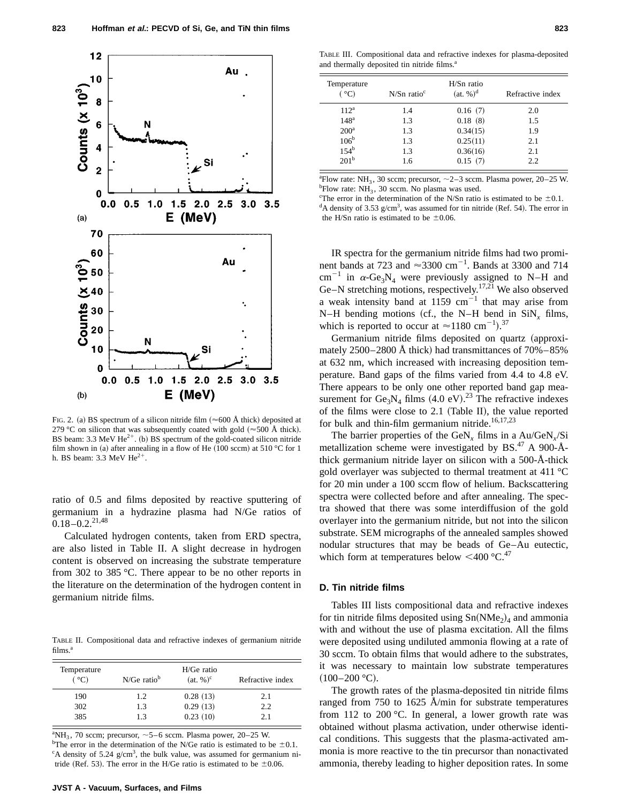

FIG. 2. (a) BS spectrum of a silicon nitride film  $(\approx 600 \text{ Å}$  thick) deposited at 279 °C on silicon that was subsequently coated with gold ( $\approx$  500 Å thick). BS beam: 3.3 MeV  $He^{2+}$ . (b) BS spectrum of the gold-coated silicon nitride film shown in (a) after annealing in a flow of He  $(100$  sccm) at 510 °C for 1 h. BS beam:  $3.3$  MeV He<sup>2+</sup>.

ratio of 0.5 and films deposited by reactive sputtering of germanium in a hydrazine plasma had N/Ge ratios of  $0.18 - 0.2$ <sup>21,48</sup>

Calculated hydrogen contents, taken from ERD spectra, are also listed in Table II. A slight decrease in hydrogen content is observed on increasing the substrate temperature from 302 to 385 °C. There appear to be no other reports in the literature on the determination of the hydrogen content in germanium nitride films.

TABLE II. Compositional data and refractive indexes of germanium nitride films.<sup>a</sup>

| Temperature<br>(°C) | $N/Ge$ ratio <sup>b</sup> | $H/Ge$ ratio<br>$(at, %)^c$ | Refractive index |
|---------------------|---------------------------|-----------------------------|------------------|
| 190                 | 1.2                       | 0.28(13)                    | 2.1              |
| 302                 | 1.3                       | 0.29(13)                    | 2.2              |
| 385                 | 13                        | 0.23(10)                    | 2.1              |

<sup>a</sup>NH<sub>3</sub>, 70 sccm; precursor,  $\sim$  5–6 sccm. Plasma power, 20–25 W. <sup>b</sup>The error in the determination of the N/Ge ratio is estimated to be  $\pm 0.1$ . <sup>c</sup>A density of 5.24 g/cm<sup>3</sup>, the bulk value, was assumed for germanium nitride (Ref. 53). The error in the H/Ge ratio is estimated to be  $\pm 0.06$ .

TABLE III. Compositional data and refractive indexes for plasma-deposited and thermally deposited tin nitride films.<sup>a</sup>

| Temperature<br>(°C) | $N/Sn$ ratio <sup>c</sup> | $H/Sn$ ratio<br>$(at. %)^d$ | Refractive index |
|---------------------|---------------------------|-----------------------------|------------------|
| $112^a$             | 1.4                       | 0.16(7)                     | 2.0              |
| 148 <sup>a</sup>    | 1.3                       | 0.18(8)                     | 1.5              |
| $200^a$             | 1.3                       | 0.34(15)                    | 1.9              |
| 106 <sup>b</sup>    | 1.3                       | 0.25(11)                    | 2.1              |
| $154^b$             | 1.3                       | 0.36(16)                    | 2.1              |
| 201 <sup>b</sup>    | 1.6                       | 0.15(7)                     | 2.2              |

<sup>a</sup> Flow rate: NH<sub>3</sub>, 30 sccm; precursor,  $\sim$  2–3 sccm. Plasma power, 20–25 W. <sup>b</sup>Flow rate:  $NH_3$ , 30 sccm. No plasma was used.

<sup>c</sup>The error in the determination of the N/Sn ratio is estimated to be  $\pm 0.1$ .  $dA$  density of 3.53 g/cm<sup>3</sup>, was assumed for tin nitride (Ref. 54). The error in the H/Sn ratio is estimated to be  $\pm 0.06$ .

IR spectra for the germanium nitride films had two prominent bands at 723 and  $\approx$ 3300 cm<sup>-1</sup>. Bands at 3300 and 714 cm<sup>-1</sup> in  $\alpha$ -Ge<sub>3</sub>N<sub>4</sub> were previously assigned to N–H and Ge–N stretching motions, respectively.17,21 We also observed a weak intensity band at 1159  $cm^{-1}$  that may arise from N–H bending motions (cf., the N–H bend in  $\text{SiN}_x$  films, which is reported to occur at  $\approx$ 1180 cm<sup>-1</sup>).<sup>37</sup>

Germanium nitride films deposited on quartz (approximately  $2500-2800$  Å thick) had transmittances of  $70\% - 85\%$ at 632 nm, which increased with increasing deposition temperature. Band gaps of the films varied from 4.4 to 4.8 eV. There appears to be only one other reported band gap measurement for  $Ge_3N_4$  films (4.0 eV).<sup>23</sup> The refractive indexes of the films were close to  $2.1$  (Table II), the value reported for bulk and thin-film germanium nitride.<sup>16,17,23</sup>

The barrier properties of the GeN<sub>x</sub> films in a Au/GeN<sub>x</sub>/Si metallization scheme were investigated by BS. $47$  A 900-Åthick germanium nitride layer on silicon with a 500-Å-thick gold overlayer was subjected to thermal treatment at 411 °C for 20 min under a 100 sccm flow of helium. Backscattering spectra were collected before and after annealing. The spectra showed that there was some interdiffusion of the gold overlayer into the germanium nitride, but not into the silicon substrate. SEM micrographs of the annealed samples showed nodular structures that may be beads of Ge–Au eutectic, which form at temperatures below  $\leq 400$  °C.<sup>47</sup>

#### **D. Tin nitride films**

Tables III lists compositional data and refractive indexes for tin nitride films deposited using  $Sn(NMe<sub>2</sub>)<sub>4</sub>$  and ammonia with and without the use of plasma excitation. All the films were deposited using undiluted ammonia flowing at a rate of 30 sccm. To obtain films that would adhere to the substrates, it was necessary to maintain low substrate temperatures  $(100-200 \degree C).$ 

The growth rates of the plasma-deposited tin nitride films ranged from 750 to 1625 Å/min for substrate temperatures from 112 to 200  $\degree$ C. In general, a lower growth rate was obtained without plasma activation, under otherwise identical conditions. This suggests that the plasma-activated ammonia is more reactive to the tin precursor than nonactivated ammonia, thereby leading to higher deposition rates. In some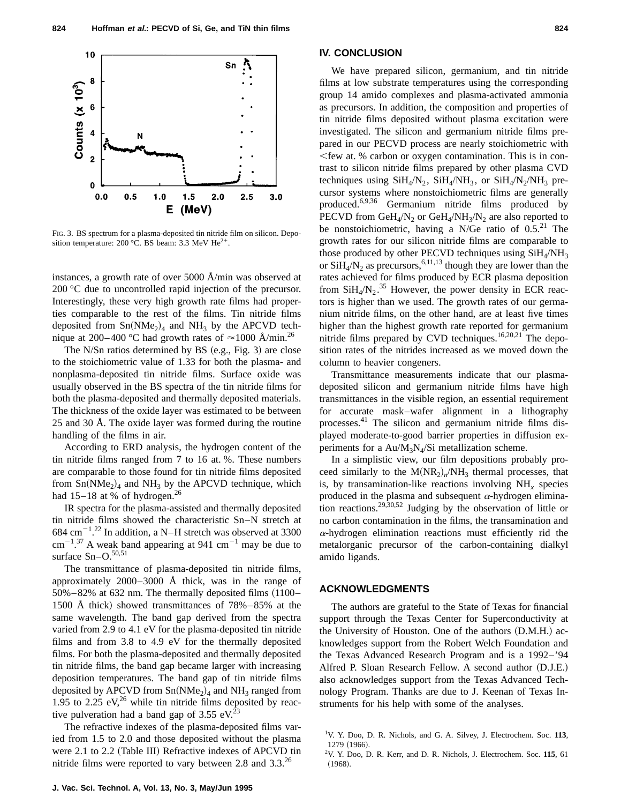

FIG. 3. BS spectrum for a plasma-deposited tin nitride film on silicon. Deposition temperature: 200 °C. BS beam: 3.3 MeV  $He^{2+}$ .

instances, a growth rate of over 5000 Å/min was observed at 200 °C due to uncontrolled rapid injection of the precursor. Interestingly, these very high growth rate films had properties comparable to the rest of the films. Tin nitride films deposited from  $Sn(NMe<sub>2</sub>)<sub>4</sub>$  and  $NH<sub>3</sub>$  by the APCVD technique at 200–400 °C had growth rates of  $\approx$ 1000 Å/min.<sup>26</sup>

The N/Sn ratios determined by BS  $(e.g., Fig. 3)$  are close to the stoichiometric value of 1.33 for both the plasma- and nonplasma-deposited tin nitride films. Surface oxide was usually observed in the BS spectra of the tin nitride films for both the plasma-deposited and thermally deposited materials. The thickness of the oxide layer was estimated to be between 25 and 30 Å. The oxide layer was formed during the routine handling of the films in air.

According to ERD analysis, the hydrogen content of the tin nitride films ranged from 7 to 16 at. %. These numbers are comparable to those found for tin nitride films deposited from  $Sn(NMe<sub>2</sub>)<sub>4</sub>$  and  $NH<sub>3</sub>$  by the APCVD technique, which had  $15-18$  at % of hydrogen.<sup>26</sup>

IR spectra for the plasma-assisted and thermally deposited tin nitride films showed the characteristic Sn–N stretch at 684 cm<sup>-1</sup>.<sup>22</sup> In addition, a N–H stretch was observed at 3300  $\text{cm}^{-1}$ .<sup>37</sup> A weak band appearing at 941 cm<sup>-1</sup> may be due to surface Sn-O.<sup>50,51</sup>

The transmittance of plasma-deposited tin nitride films, approximately  $2000-3000$  Å thick, was in the range of  $50\% - 82\%$  at 632 nm. The thermally deposited films  $(1100 -$ 1500 Å thick) showed transmittances of  $78\% - 85\%$  at the same wavelength. The band gap derived from the spectra varied from 2.9 to 4.1 eV for the plasma-deposited tin nitride films and from 3.8 to 4.9 eV for the thermally deposited films. For both the plasma-deposited and thermally deposited tin nitride films, the band gap became larger with increasing deposition temperatures. The band gap of tin nitride films deposited by APCVD from  $Sn(NMe<sub>2</sub>)<sub>4</sub>$  and NH<sub>3</sub> ranged from 1.95 to 2.25  $eV<sub>1</sub><sup>26</sup>$  while tin nitride films deposited by reactive pulveration had a band gap of  $3.55$  eV.<sup>23</sup>

The refractive indexes of the plasma-deposited films varied from 1.5 to 2.0 and those deposited without the plasma were 2.1 to 2.2 (Table III) Refractive indexes of APCVD tin nitride films were reported to vary between 2.8 and  $3.3^{26}$ 

## **IV. CONCLUSION**

We have prepared silicon, germanium, and tin nitride films at low substrate temperatures using the corresponding group 14 amido complexes and plasma-activated ammonia as precursors. In addition, the composition and properties of tin nitride films deposited without plasma excitation were investigated. The silicon and germanium nitride films prepared in our PECVD process are nearly stoichiometric with  $\leq$  few at. % carbon or oxygen contamination. This is in contrast to silicon nitride films prepared by other plasma CVD techniques using  $SiH_4/N_2$ ,  $SiH_4/NH_3$ , or  $SiH_4/N_2/NH_3$  precursor systems where nonstoichiometric films are generally produced.6,9,36 Germanium nitride films produced by PECVD from GeH<sub>4</sub>/N<sub>2</sub> or GeH<sub>4</sub>/NH<sub>3</sub>/N<sub>2</sub> are also reported to be nonstoichiometric, having a N/Ge ratio of  $0.5<sup>21</sup>$  The growth rates for our silicon nitride films are comparable to those produced by other PECVD techniques using  $SiH<sub>4</sub>/NH<sub>3</sub>$ or  $\overrightarrow{SH_4/N_2}$  as precursors, <sup>6,11,13</sup> though they are lower than the rates achieved for films produced by ECR plasma deposition from  $\text{SiH}_4/\text{N}_2$ .<sup>35</sup> However, the power density in ECR reactors is higher than we used. The growth rates of our germanium nitride films, on the other hand, are at least five times higher than the highest growth rate reported for germanium nitride films prepared by CVD techniques.<sup>16,20,21</sup> The deposition rates of the nitrides increased as we moved down the column to heavier congeners.

Transmittance measurements indicate that our plasmadeposited silicon and germanium nitride films have high transmittances in the visible region, an essential requirement for accurate mask–wafer alignment in a lithography processes.41 The silicon and germanium nitride films displayed moderate-to-good barrier properties in diffusion experiments for a  $Au/M_3N_4/Si$  metallization scheme.

In a simplistic view, our film depositions probably proceed similarly to the  $M(NR_2)_n/NH_3$  thermal processes, that is, by transamination-like reactions involving NH*<sup>x</sup>* species produced in the plasma and subsequent  $\alpha$ -hydrogen elimination reactions.29,30,52 Judging by the observation of little or no carbon contamination in the films, the transamination and  $\alpha$ -hydrogen elimination reactions must efficiently rid the metalorganic precursor of the carbon-containing dialkyl amido ligands.

# **ACKNOWLEDGMENTS**

The authors are grateful to the State of Texas for financial support through the Texas Center for Superconductivity at the University of Houston. One of the authors (D.M.H.) acknowledges support from the Robert Welch Foundation and the Texas Advanced Research Program and is a 1992–'94 Alfred P. Sloan Research Fellow. A second author  $(D.I.E.)$ also acknowledges support from the Texas Advanced Technology Program. Thanks are due to J. Keenan of Texas Instruments for his help with some of the analyses.

<sup>1</sup> V. Y. Doo, D. R. Nichols, and G. A. Silvey, J. Electrochem. Soc. **113**, 1279 (1966).

<sup>2</sup> V. Y. Doo, D. R. Kerr, and D. R. Nichols, J. Electrochem. Soc. **115**, 61  $(1968).$